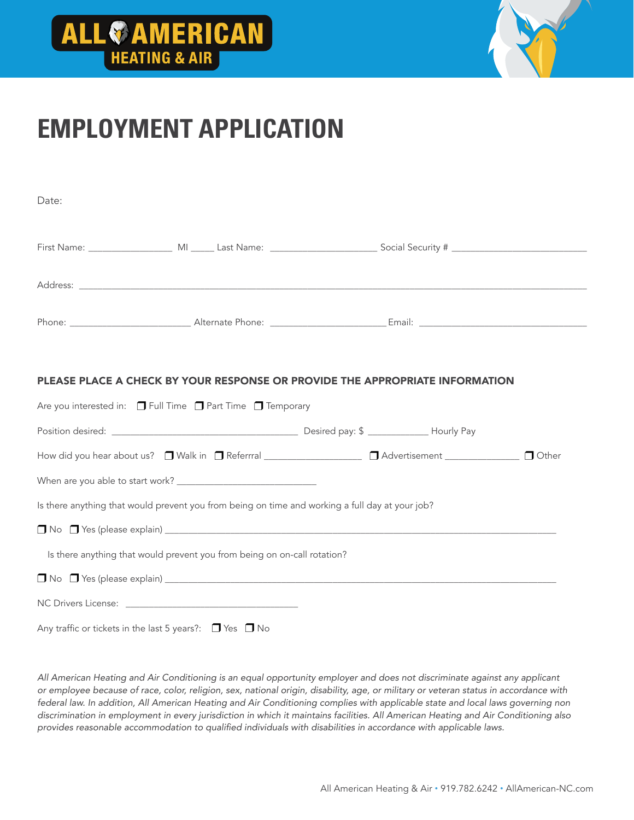# **ALL & AMERICAN**



### **EMPLOYMENT APPLICATION**

| Date: |  |
|-------|--|
|       |  |
|       |  |
|       |  |

#### PLEASE PLACE A CHECK BY YOUR RESPONSE OR PROVIDE THE APPROPRIATE INFORMATION

| Are you interested in: $\Box$ Full Time $\Box$ Part Time $\Box$ Temporary                                            |  |
|----------------------------------------------------------------------------------------------------------------------|--|
|                                                                                                                      |  |
| How did you hear about us? □ Walk in □ Referrral <u>_____________________</u> □ Advertisement ______________ □ Other |  |
|                                                                                                                      |  |
| Is there anything that would prevent you from being on time and working a full day at your job?                      |  |
| $\Box$ No $\Box$ Yes (please explain) $\Box$                                                                         |  |
| Is there anything that would prevent you from being on on-call rotation?                                             |  |
|                                                                                                                      |  |
|                                                                                                                      |  |
| Any traffic or tickets in the last 5 years?: $\Box$ Yes $\Box$ No                                                    |  |

*All American Heating and Air Conditioning is an equal opportunity employer and does not discriminate against any applicant or employee because of race, color, religion, sex, national origin, disability, age, or military or veteran status in accordance with*  federal law. In addition, All American Heating and Air Conditioning complies with applicable state and local laws governing non *discrimination in employment in every jurisdiction in which it maintains facilities. All American Heating and Air Conditioning also*  provides reasonable accommodation to qualified individuals with disabilities in accordance with applicable laws.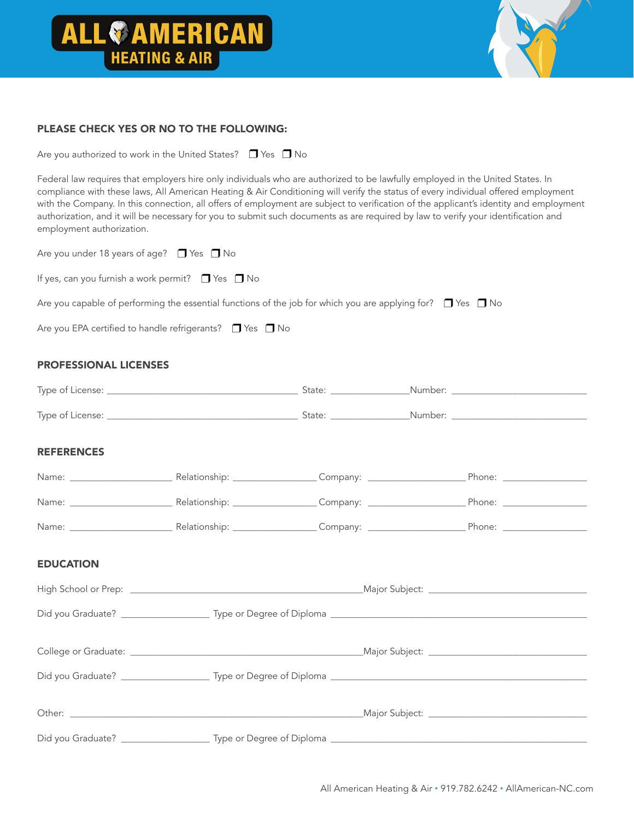# **ALL & AMERICAN**



#### PLEASE CHECK YES OR NO TO THE FOLLOWING:

Are you authorized to work in the United States?  $\Box$  Yes  $\Box$  No

Federal law requires that employers hire only individuals who are authorized to be lawfully employed in the United States. In compliance with these laws, All American Heating & Air Conditioning will verify the status of every individual offered employment with the Company. In this connection, all offers of employment are subject to verification of the applicant's identity and employment authorization, and it will be necessary for you to submit such documents as are required by law to verify your identification and employment authorization.

|  | Are you under 18 years of age? $\Box$ Yes $\Box$ No |  |  |
|--|-----------------------------------------------------|--|--|
|--|-----------------------------------------------------|--|--|

If yes, can you furnish a work permit?  $\Box$  Yes  $\Box$  No

Are you capable of performing the essential functions of the job for which you are applying for?  $\Box$  Yes  $\Box$  No

Are you EPA certified to handle refrigerants?  $\Box$  Yes  $\Box$  No

#### PROFESSIONAL LICENSES

| <b>REFERENCES</b> |  |  |
|-------------------|--|--|
|                   |  |  |
|                   |  |  |
|                   |  |  |
| <b>EDUCATION</b>  |  |  |
|                   |  |  |
|                   |  |  |
|                   |  |  |
|                   |  |  |
|                   |  |  |
|                   |  |  |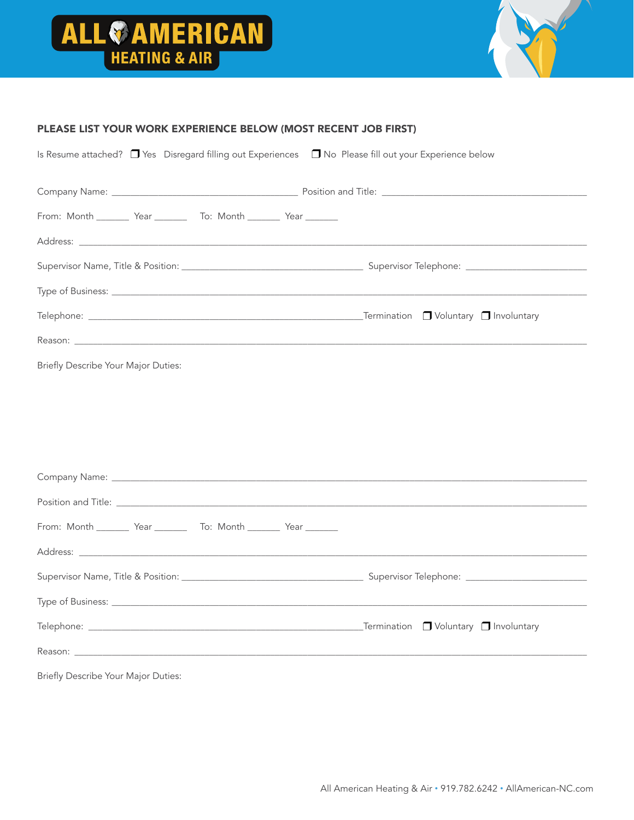



#### PLEASE LIST YOUR WORK EXPERIENCE BELOW (MOST RECENT JOB FIRST)

| From: Month ________ Year _________ To: Month ________ Year _______                                                                                                                                                            |                                                                                                            |
|--------------------------------------------------------------------------------------------------------------------------------------------------------------------------------------------------------------------------------|------------------------------------------------------------------------------------------------------------|
|                                                                                                                                                                                                                                |                                                                                                            |
|                                                                                                                                                                                                                                |                                                                                                            |
|                                                                                                                                                                                                                                | Type of Business: <u>The Commission of Business and Commission of Business and Commission of Business:</u> |
|                                                                                                                                                                                                                                |                                                                                                            |
|                                                                                                                                                                                                                                |                                                                                                            |
| Briefly Describe Your Major Duties:                                                                                                                                                                                            |                                                                                                            |
|                                                                                                                                                                                                                                |                                                                                                            |
|                                                                                                                                                                                                                                |                                                                                                            |
|                                                                                                                                                                                                                                |                                                                                                            |
|                                                                                                                                                                                                                                |                                                                                                            |
|                                                                                                                                                                                                                                |                                                                                                            |
|                                                                                                                                                                                                                                |                                                                                                            |
|                                                                                                                                                                                                                                |                                                                                                            |
| From: Month ________ Year _________ To: Month ________ Year ________                                                                                                                                                           |                                                                                                            |
|                                                                                                                                                                                                                                |                                                                                                            |
|                                                                                                                                                                                                                                |                                                                                                            |
|                                                                                                                                                                                                                                |                                                                                                            |
|                                                                                                                                                                                                                                |                                                                                                            |
| Reason: Note of the contract of the contract of the contract of the contract of the contract of the contract of the contract of the contract of the contract of the contract of the contract of the contract of the contract o |                                                                                                            |
| Briefly Describe Your Major Duties:                                                                                                                                                                                            |                                                                                                            |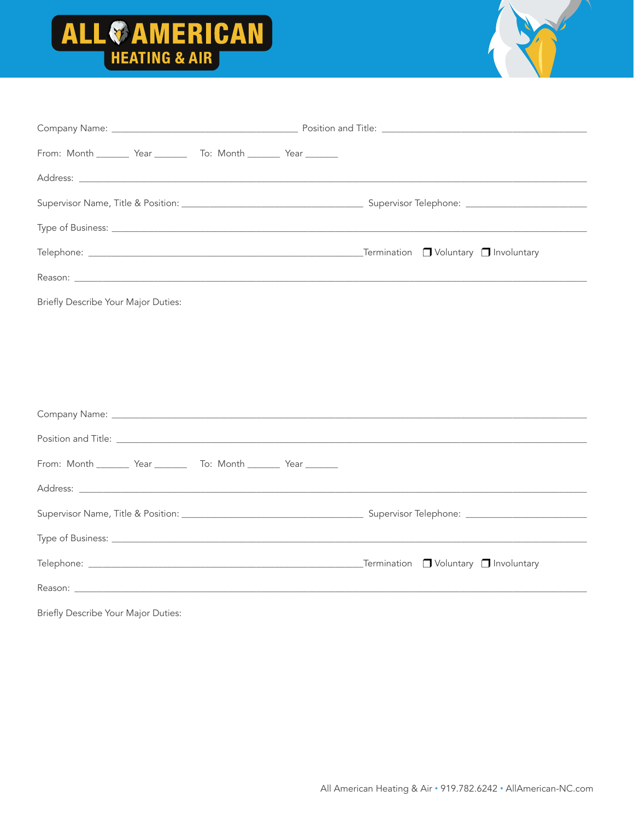



| From: Month _________ Year __________ To: Month ________ Year ________   |  |
|--------------------------------------------------------------------------|--|
|                                                                          |  |
|                                                                          |  |
|                                                                          |  |
|                                                                          |  |
|                                                                          |  |
| Briefly Describe Your Major Duties:                                      |  |
|                                                                          |  |
|                                                                          |  |
|                                                                          |  |
|                                                                          |  |
|                                                                          |  |
| From: Month _________ Year ___________ To: Month _________ Year ________ |  |
|                                                                          |  |
|                                                                          |  |
|                                                                          |  |
|                                                                          |  |
|                                                                          |  |
| Briefly Describe Your Major Duties:                                      |  |